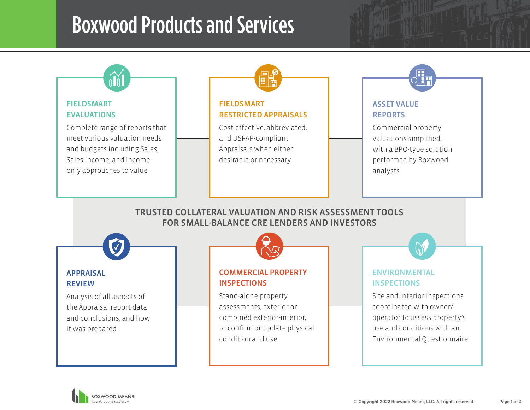## Boxwood Products and Services



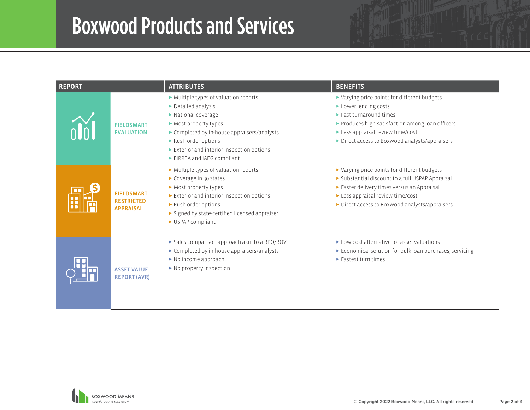## Boxwood Products and Services

| <b>REPORT</b> |                                                            | <b>ATTRIBUTES</b>                                                                                                                                                                                                                                                                                          | <b>BENEFITS</b>                                                                                                                                                                                                                                                               |
|---------------|------------------------------------------------------------|------------------------------------------------------------------------------------------------------------------------------------------------------------------------------------------------------------------------------------------------------------------------------------------------------------|-------------------------------------------------------------------------------------------------------------------------------------------------------------------------------------------------------------------------------------------------------------------------------|
|               | <b>FIELDSMART</b><br><b>EVALUATION</b>                     | Multiple types of valuation reports<br>$\triangleright$ Detailed analysis<br>$\triangleright$ National coverage<br>Most property types<br>► Completed by in-house appraisers/analysts<br>Rush order options<br>$\blacktriangleright$ Exterior and interior inspection options<br>FIRREA and IAEG compliant | ► Varying price points for different budgets<br>Lower lending costs<br>$\blacktriangleright$ Fast turnaround times<br>Produces high satisfaction among loan officers<br>$\blacktriangleright$ Less appraisal review time/cost<br>Direct access to Boxwood analysts/appraisers |
|               | <b>FIELDSMART</b><br><b>RESTRICTED</b><br><b>APPRAISAL</b> | $\triangleright$ Multiple types of valuation reports<br>Coverage in 30 states<br>Most property types<br>$\triangleright$ Exterior and interior inspection options<br>Rush order options<br>► Signed by state-certified licensed appraiser<br>USPAP compliant                                               | ► Varying price points for different budgets<br>Substantial discount to a full USPAP Appraisal<br>Faster delivery times versus an Appraisal<br>Less appraisal review time/cost<br>Direct access to Boxwood analysts/appraisers                                                |
|               | <b>ASSET VALUE</b><br><b>REPORT (AVR)</b>                  | Sales comparison approach akin to a BPO/BOV<br>Completed by in-house appraisers/analysts<br>$\triangleright$ No income approach<br>$\blacktriangleright$ No property inspection                                                                                                                            | ► Low-cost alternative for asset valuations<br>Economical solution for bulk loan purchases, servicing<br>$\blacktriangleright$ Fastest turn times                                                                                                                             |